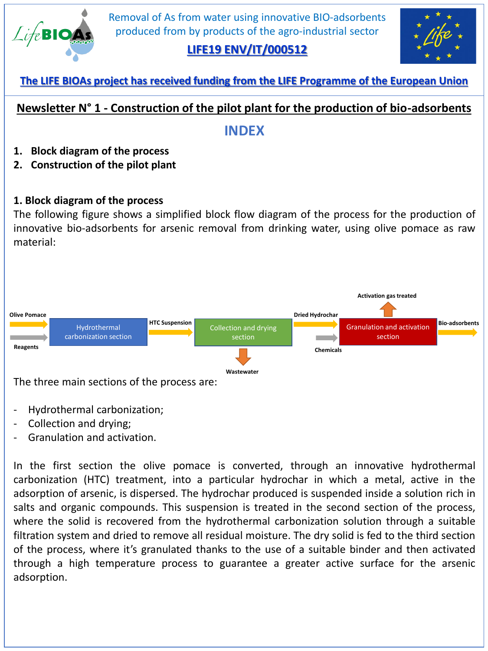

## **LIFE19 ENV/IT/000512**



## **The LIFE BIOAs project has received funding from the LIFE Programme of the European Union**

## **Newsletter N° 1 - Construction of the pilot plant for the production of bio-adsorbents**

**INDEX**

- **1. Block diagram of the process**
- **2. Construction of the pilot plant**

#### **1. Block diagram of the process**

The following figure shows a simplified block flow diagram of the process for the production of innovative bio-adsorbents for arsenic removal from drinking water, using olive pomace as raw material:



- Hydrothermal carbonization;
- Collection and drying;
- Granulation and activation.

In the first section the olive pomace is converted, through an innovative hydrothermal carbonization (HTC) treatment, into a particular hydrochar in which a metal, active in the adsorption of arsenic, is dispersed. The hydrochar produced is suspended inside a solution rich in salts and organic compounds. This suspension is treated in the second section of the process, where the solid is recovered from the hydrothermal carbonization solution through a suitable filtration system and dried to remove all residual moisture. The dry solid is fed to the third section of the process, where it's granulated thanks to the use of a suitable binder and then activated through a high temperature process to guarantee a greater active surface for the arsenic adsorption.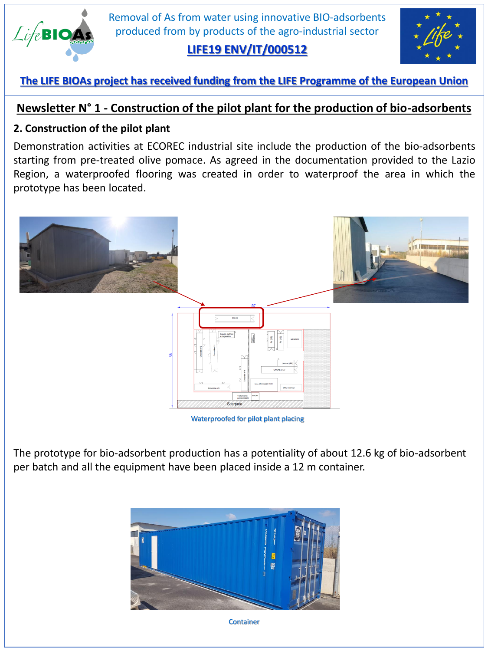

## **LIFE19 ENV/IT/000512**



### **The LIFE BIOAs project has received funding from the LIFE Programme of the European Union**

## **Newsletter N° 1 - Construction of the pilot plant for the production of bio-adsorbents**

#### **2. Construction of the pilot plant**

Demonstration activities at ECOREC industrial site include the production of the bio-adsorbents starting from pre-treated olive pomace. As agreed in the documentation provided to the Lazio Region, a waterproofed flooring was created in order to waterproof the area in which the prototype has been located.



Waterproofed for pilot plant placing

The prototype for bio-adsorbent production has a potentiality of about 12.6 kg of bio-adsorbent per batch and all the equipment have been placed inside a 12 m container.



**Container**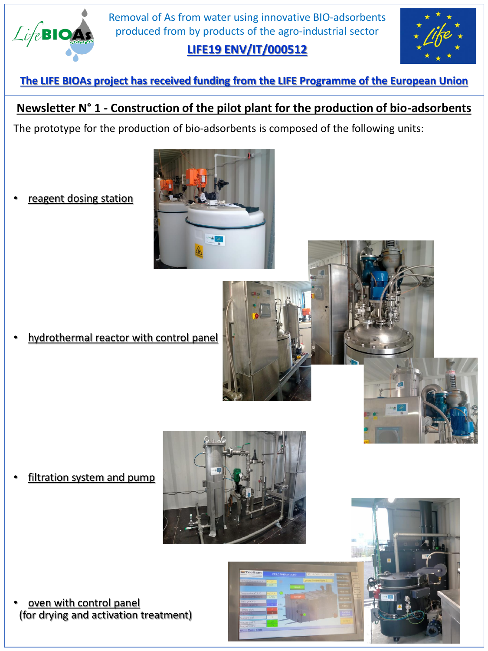

# **LIFE19 ENV/IT/000512**



**The LIFE BIOAs project has received funding from the LIFE Programme of the European Union**

**Newsletter N° 1 - Construction of the pilot plant for the production of bio-adsorbents**

The prototype for the production of bio-adsorbents is composed of the following units:

reagent dosing station

hydrothermal reactor with control panel







oven with control panel (for drying and activation treatment)